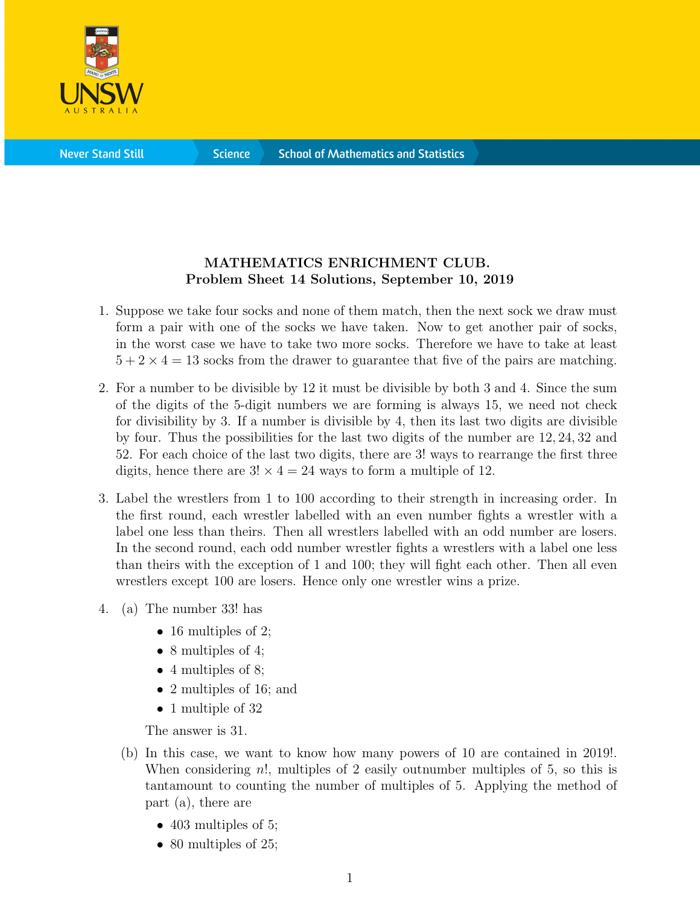

**Science** 

## MATHEMATICS ENRICHMENT CLUB. Problem Sheet 14 Solutions, September 10, 2019

- 1. Suppose we take four socks and none of them match, then the next sock we draw must form a pair with one of the socks we have taken. Now to get another pair of socks, in the worst case we have to take two more socks. Therefore we have to take at least  $5 + 2 \times 4 = 13$  socks from the drawer to guarantee that five of the pairs are matching.
- 2. For a number to be divisible by 12 it must be divisible by both 3 and 4. Since the sum of the digits of the 5-digit numbers we are forming is always 15, we need not check for divisibility by 3. If a number is divisible by 4, then its last two digits are divisible by four. Thus the possibilities for the last two digits of the number are 12, 24, 32 and 52. For each choice of the last two digits, there are 3! ways to rearrange the first three digits, hence there are  $3! \times 4 = 24$  ways to form a multiple of 12.
- 3. Label the wrestlers from 1 to 100 according to their strength in increasing order. In the first round, each wrestler labelled with an even number fights a wrestler with a label one less than theirs. Then all wrestlers labelled with an odd number are losers. In the second round, each odd number wrestler fights a wrestlers with a label one less than theirs with the exception of 1 and 100; they will fight each other. Then all even wrestlers except 100 are losers. Hence only one wrestler wins a prize.
- 4. (a) The number 33! has
	- 16 multiples of 2;
	- 8 multiples of 4;
	- 4 multiples of 8;
	- 2 multiples of 16; and
	- 1 multiple of 32

The answer is 31.

- (b) In this case, we want to know how many powers of 10 are contained in 2019!. When considering n!, multiples of 2 easily outnumber multiples of 5, so this is tantamount to counting the number of multiples of 5. Applying the method of part (a), there are
	- 403 multiples of 5;
	- 80 multiples of 25;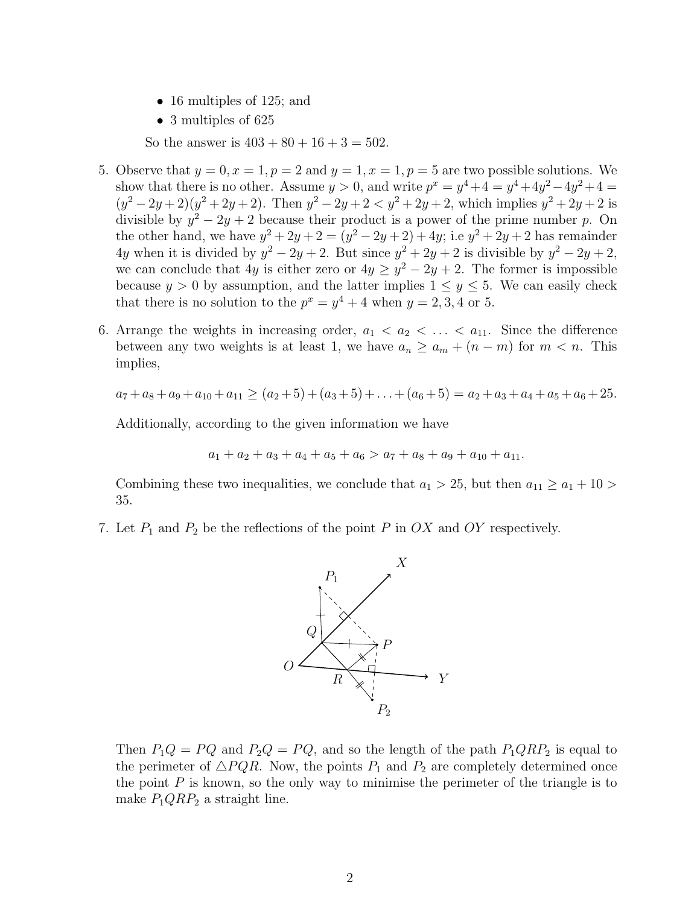- 16 multiples of 125; and
- 3 multiples of 625

So the answer is  $403 + 80 + 16 + 3 = 502$ .

- 5. Observe that  $y = 0, x = 1, p = 2$  and  $y = 1, x = 1, p = 5$  are two possible solutions. We show that there is no other. Assume  $y > 0$ , and write  $p^x = y^4 + 4 = y^4 + 4y^2 - 4y^2 + 4 = 0$  $(y^2 - 2y + 2)(y^2 + 2y + 2)$ . Then  $y^2 - 2y + 2 < y^2 + 2y + 2$ , which implies  $y^2 + 2y + 2$  is divisible by  $y^2 - 2y + 2$  because their product is a power of the prime number p. On the other hand, we have  $y^2 + 2y + 2 = (y^2 - 2y + 2) + 4y$ ; i.e  $y^2 + 2y + 2$  has remainder 4y when it is divided by  $y^2 - 2y + 2$ . But since  $y^2 + 2y + 2$  is divisible by  $y^2 - 2y + 2$ , we can conclude that 4y is either zero or  $4y \ge y^2 - 2y + 2$ . The former is impossible because  $y > 0$  by assumption, and the latter implies  $1 \le y \le 5$ . We can easily check that there is no solution to the  $p^x = y^4 + 4$  when  $y = 2, 3, 4$  or 5.
- 6. Arrange the weights in increasing order,  $a_1 < a_2 < \ldots < a_{11}$ . Since the difference between any two weights is at least 1, we have  $a_n \ge a_m + (n - m)$  for  $m < n$ . This implies,

$$
a_7 + a_8 + a_9 + a_{10} + a_{11} \ge (a_2 + 5) + (a_3 + 5) + \ldots + (a_6 + 5) = a_2 + a_3 + a_4 + a_5 + a_6 + 25.
$$

Additionally, according to the given information we have

$$
a_1 + a_2 + a_3 + a_4 + a_5 + a_6 > a_7 + a_8 + a_9 + a_{10} + a_{11}.
$$

Combining these two inequalities, we conclude that  $a_1 > 25$ , but then  $a_{11} \ge a_1 + 10 >$ 35.

7. Let  $P_1$  and  $P_2$  be the reflections of the point P in OX and OY respectively.



Then  $P_1Q = PQ$  and  $P_2Q = PQ$ , and so the length of the path  $P_1QRP_2$  is equal to the perimeter of  $\triangle PQR$ . Now, the points  $P_1$  and  $P_2$  are completely determined once the point  $P$  is known, so the only way to minimise the perimeter of the triangle is to make  $P_1QRP_2$  a straight line.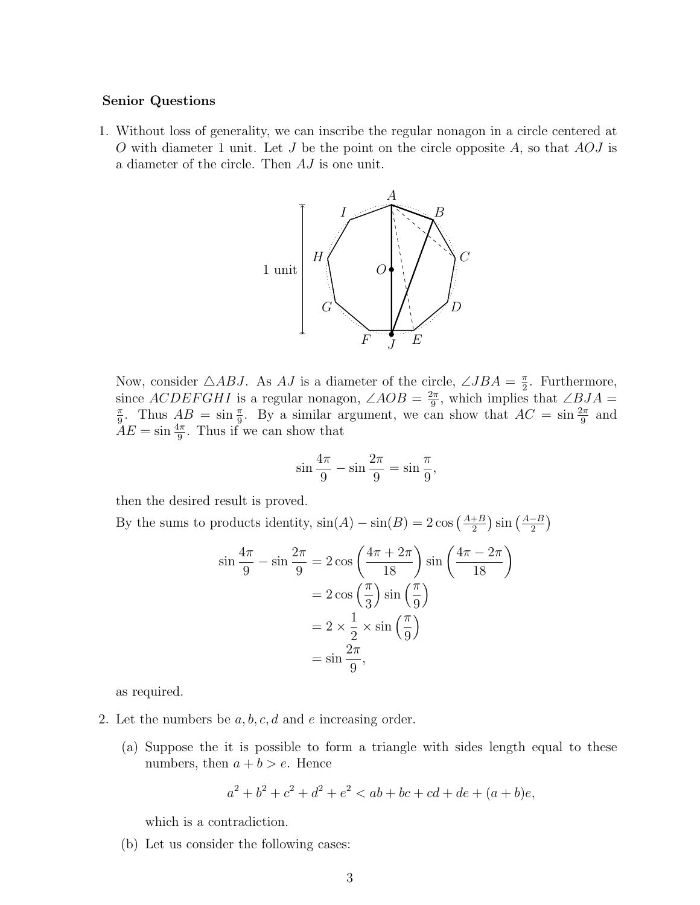## Senior Questions

1. Without loss of generality, we can inscribe the regular nonagon in a circle centered at O with diameter 1 unit. Let  $J$  be the point on the circle opposite  $A$ , so that  $AOJ$  is a diameter of the circle. Then AJ is one unit.



Now, consider  $\triangle ABJ$ . As AJ is a diameter of the circle,  $\angle JBA = \frac{\pi}{2}$  $\frac{\pi}{2}$ . Furthermore, since  $ACDEFGHI$  is a regular nonagon,  $\angle AOB = \frac{2\pi}{9}$  $\frac{2\pi}{9}$ , which implies that  $\angle BJA =$ π  $\frac{\pi}{9}$ . Thus  $AB = \sin \frac{\pi}{9}$ . By a similar argument, we can show that  $AC = \sin \frac{2\pi}{9}$  and  $\tilde{A}E = \sin \frac{4\pi}{9}$ . Thus if we can show that

$$
\sin\frac{4\pi}{9} - \sin\frac{2\pi}{9} = \sin\frac{\pi}{9},
$$

then the desired result is proved.

By the sums to products identity,  $\sin(A) - \sin(B) = 2 \cos \left( \frac{A+B}{2} \right)$  $\frac{+B}{2}$ )  $\sin\left(\frac{A-B}{2}\right)$  $\frac{-B}{2}\Big)$ 

$$
\sin\frac{4\pi}{9} - \sin\frac{2\pi}{9} = 2\cos\left(\frac{4\pi + 2\pi}{18}\right)\sin\left(\frac{4\pi - 2\pi}{18}\right)
$$

$$
= 2\cos\left(\frac{\pi}{3}\right)\sin\left(\frac{\pi}{9}\right)
$$

$$
= 2 \times \frac{1}{2} \times \sin\left(\frac{\pi}{9}\right)
$$

$$
= \sin\frac{2\pi}{9},
$$

as required.

- 2. Let the numbers be  $a, b, c, d$  and e increasing order.
	- (a) Suppose the it is possible to form a triangle with sides length equal to these numbers, then  $a + b > e$ . Hence

$$
a^2 + b^2 + c^2 + d^2 + e^2 < ab + bc + cd + de + (a + b)e,
$$

which is a contradiction.

(b) Let us consider the following cases: